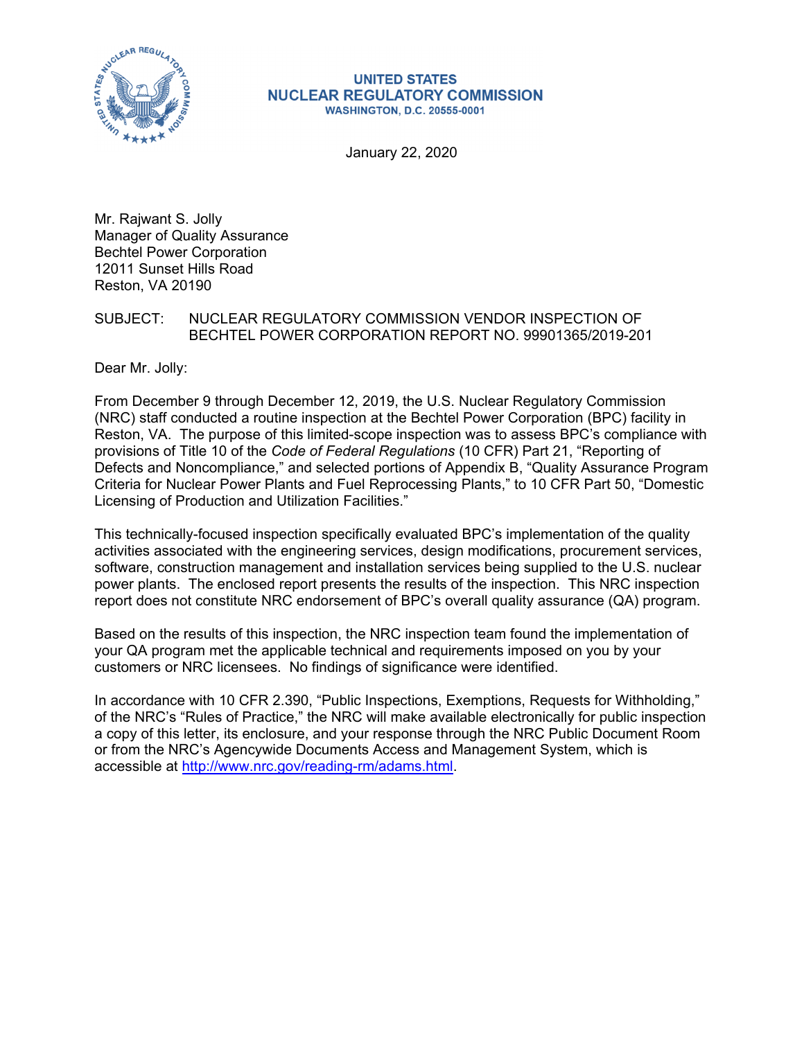

#### **UNITED STATES NUCLEAR REGULATORY COMMISSION WASHINGTON, D.C. 20555-0001**

January 22, 2020

Mr. Rajwant S. Jolly Manager of Quality Assurance Bechtel Power Corporation 12011 Sunset Hills Road Reston, VA 20190

## SUBJECT: NUCLEAR REGULATORY COMMISSION VENDOR INSPECTION OF BECHTEL POWER CORPORATION REPORT NO. 99901365/2019-201

Dear Mr. Jolly:

From December 9 through December 12, 2019, the U.S. Nuclear Regulatory Commission (NRC) staff conducted a routine inspection at the Bechtel Power Corporation (BPC) facility in Reston, VA. The purpose of this limited-scope inspection was to assess BPC's compliance with provisions of Title 10 of the *Code of Federal Regulations* (10 CFR) Part 21, "Reporting of Defects and Noncompliance," and selected portions of Appendix B, "Quality Assurance Program Criteria for Nuclear Power Plants and Fuel Reprocessing Plants," to 10 CFR Part 50, "Domestic Licensing of Production and Utilization Facilities."

This technically-focused inspection specifically evaluated BPC's implementation of the quality activities associated with the engineering services, design modifications, procurement services, software, construction management and installation services being supplied to the U.S. nuclear power plants. The enclosed report presents the results of the inspection. This NRC inspection report does not constitute NRC endorsement of BPC's overall quality assurance (QA) program.

Based on the results of this inspection, the NRC inspection team found the implementation of your QA program met the applicable technical and requirements imposed on you by your customers or NRC licensees. No findings of significance were identified.

In accordance with 10 CFR 2.390, "Public Inspections, Exemptions, Requests for Withholding," of the NRC's "Rules of Practice," the NRC will make available electronically for public inspection a copy of this letter, its enclosure, and your response through the NRC Public Document Room or from the NRC's Agencywide Documents Access and Management System, which is accessible at http://www.nrc.gov/reading-rm/adams.html.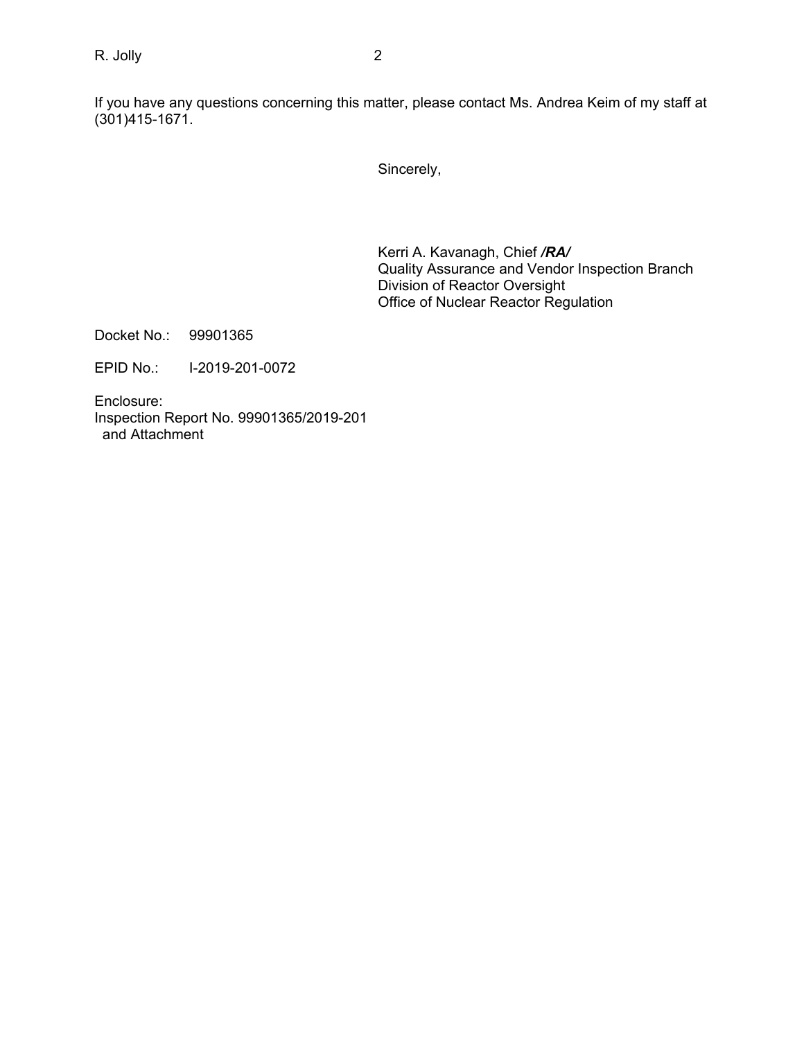If you have any questions concerning this matter, please contact Ms. Andrea Keim of my staff at (301)415-1671.

Sincerely,

Kerri A. Kavanagh, Chief */RA/*  Quality Assurance and Vendor Inspection Branch Division of Reactor Oversight Office of Nuclear Reactor Regulation

Docket No.: 99901365

EPID No.: I-2019-201-0072

Enclosure: Inspection Report No. 99901365/2019-201 and Attachment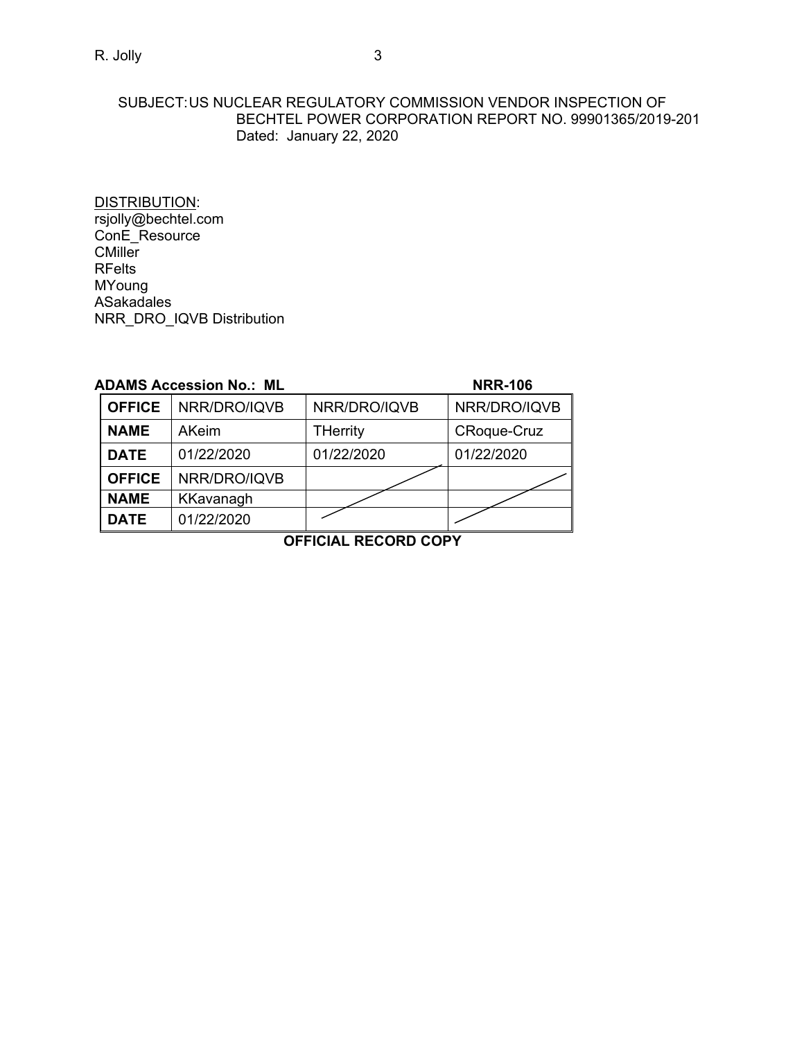## SUBJECT: US NUCLEAR REGULATORY COMMISSION VENDOR INSPECTION OF BECHTEL POWER CORPORATION REPORT NO. 99901365/2019-201 Dated: January 22, 2020

DISTRIBUTION: rsjolly@bechtel.com ConE\_Resource CMiller RFelts MYoung ASakadales NRR\_DRO\_IQVB Distribution

|               | <b>ADAMS Accession No.: ML</b> |              | <b>NRR-106</b>     |
|---------------|--------------------------------|--------------|--------------------|
| <b>OFFICE</b> | NRR/DRO/IQVB                   | NRR/DRO/IQVB | NRR/DRO/IQVB       |
| <b>NAME</b>   | AKeim                          | THerrity     | <b>CRoque-Cruz</b> |
| <b>DATE</b>   | 01/22/2020                     | 01/22/2020   | 01/22/2020         |
| <b>OFFICE</b> | NRR/DRO/IQVB                   |              |                    |
| <b>NAME</b>   | KKavanagh                      |              |                    |
| <b>DATE</b>   | 01/22/2020                     |              |                    |

**OFFICIAL RECORD COPY**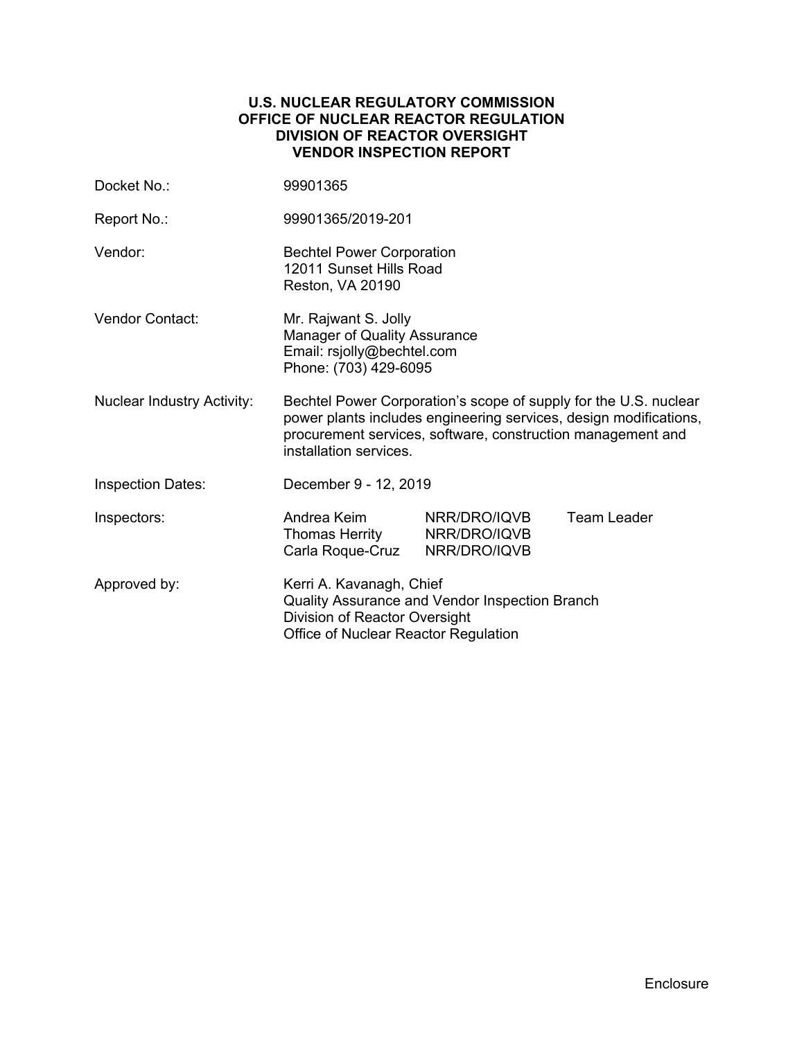## **U.S. NUCLEAR REGULATORY COMMISSION OFFICE OF NUCLEAR REACTOR REGULATION DIVISION OF REACTOR OVERSIGHT VENDOR INSPECTION REPORT**

| Docket No.:                       | 99901365                                                                                                                                                                                                                       |                              |                    |
|-----------------------------------|--------------------------------------------------------------------------------------------------------------------------------------------------------------------------------------------------------------------------------|------------------------------|--------------------|
| Report No.:                       | 99901365/2019-201                                                                                                                                                                                                              |                              |                    |
| Vendor:                           | <b>Bechtel Power Corporation</b><br>12011 Sunset Hills Road<br>Reston, VA 20190                                                                                                                                                |                              |                    |
| <b>Vendor Contact:</b>            | Mr. Rajwant S. Jolly<br>Manager of Quality Assurance<br>Email: rsjolly@bechtel.com<br>Phone: (703) 429-6095                                                                                                                    |                              |                    |
| <b>Nuclear Industry Activity:</b> | Bechtel Power Corporation's scope of supply for the U.S. nuclear<br>power plants includes engineering services, design modifications,<br>procurement services, software, construction management and<br>installation services. |                              |                    |
| <b>Inspection Dates:</b>          | December 9 - 12, 2019                                                                                                                                                                                                          |                              |                    |
| Inspectors:                       | Andrea Keim<br>Thomas Herrity NRR/DRO/IQVB<br>Carla Roque-Cruz                                                                                                                                                                 | NRR/DRO/IQVB<br>NRR/DRO/IQVB | <b>Team Leader</b> |
| Approved by:                      | Kerri A. Kavanagh, Chief<br>Quality Assurance and Vendor Inspection Branch<br>Division of Reactor Oversight<br>Office of Nuclear Reactor Regulation                                                                            |                              |                    |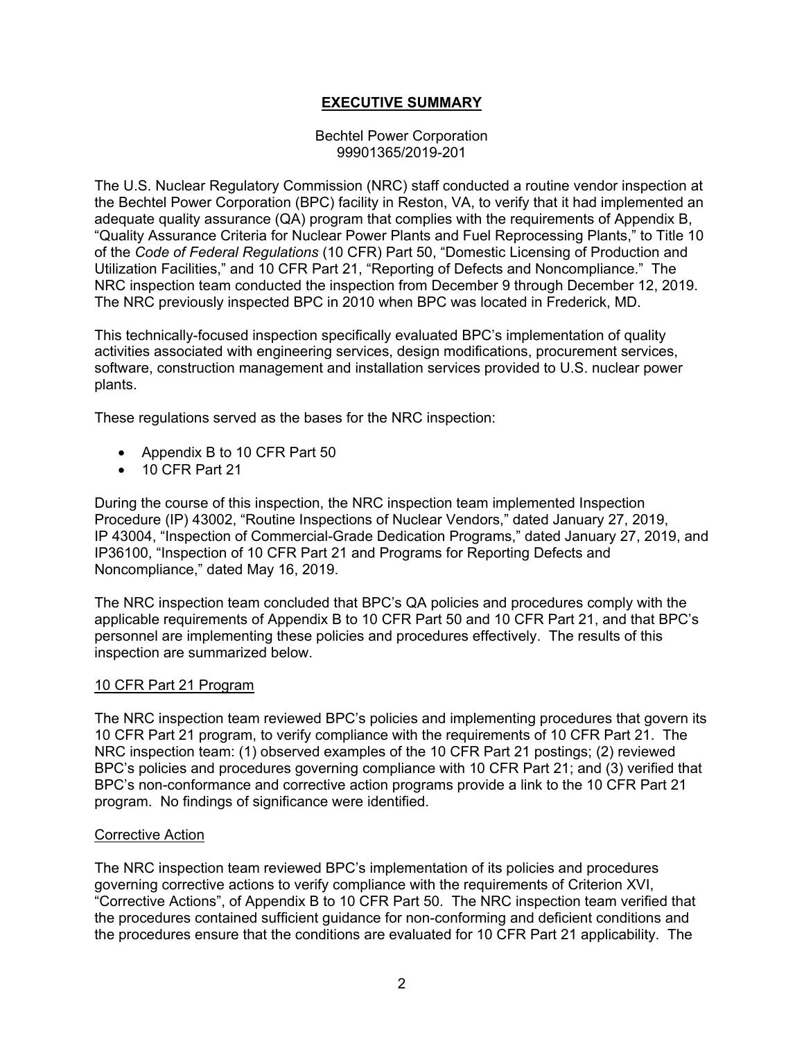# **EXECUTIVE SUMMARY**

#### Bechtel Power Corporation 99901365/2019-201

The U.S. Nuclear Regulatory Commission (NRC) staff conducted a routine vendor inspection at the Bechtel Power Corporation (BPC) facility in Reston, VA, to verify that it had implemented an adequate quality assurance (QA) program that complies with the requirements of Appendix B, "Quality Assurance Criteria for Nuclear Power Plants and Fuel Reprocessing Plants," to Title 10 of the *Code of Federal Regulations* (10 CFR) Part 50, "Domestic Licensing of Production and Utilization Facilities," and 10 CFR Part 21, "Reporting of Defects and Noncompliance." The NRC inspection team conducted the inspection from December 9 through December 12, 2019. The NRC previously inspected BPC in 2010 when BPC was located in Frederick, MD.

This technically-focused inspection specifically evaluated BPC's implementation of quality activities associated with engineering services, design modifications, procurement services, software, construction management and installation services provided to U.S. nuclear power plants.

These regulations served as the bases for the NRC inspection:

- Appendix B to 10 CFR Part 50
- 10 CFR Part 21

During the course of this inspection, the NRC inspection team implemented Inspection Procedure (IP) 43002, "Routine Inspections of Nuclear Vendors," dated January 27, 2019, IP 43004, "Inspection of Commercial-Grade Dedication Programs," dated January 27, 2019, and IP36100, "Inspection of 10 CFR Part 21 and Programs for Reporting Defects and Noncompliance," dated May 16, 2019.

The NRC inspection team concluded that BPC's QA policies and procedures comply with the applicable requirements of Appendix B to 10 CFR Part 50 and 10 CFR Part 21, and that BPC's personnel are implementing these policies and procedures effectively. The results of this inspection are summarized below.

#### 10 CFR Part 21 Program

The NRC inspection team reviewed BPC's policies and implementing procedures that govern its 10 CFR Part 21 program, to verify compliance with the requirements of 10 CFR Part 21. The NRC inspection team: (1) observed examples of the 10 CFR Part 21 postings; (2) reviewed BPC's policies and procedures governing compliance with 10 CFR Part 21; and (3) verified that BPC's non-conformance and corrective action programs provide a link to the 10 CFR Part 21 program. No findings of significance were identified.

#### Corrective Action

The NRC inspection team reviewed BPC's implementation of its policies and procedures governing corrective actions to verify compliance with the requirements of Criterion XVI, "Corrective Actions", of Appendix B to 10 CFR Part 50. The NRC inspection team verified that the procedures contained sufficient guidance for non-conforming and deficient conditions and the procedures ensure that the conditions are evaluated for 10 CFR Part 21 applicability. The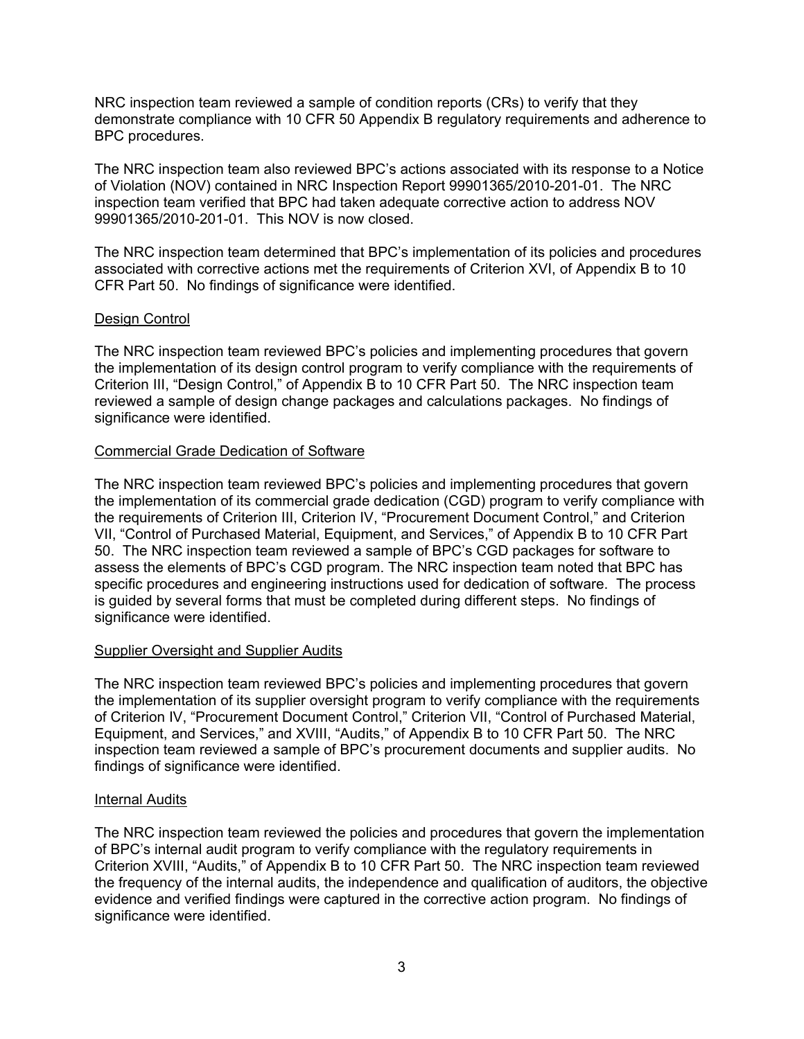NRC inspection team reviewed a sample of condition reports (CRs) to verify that they demonstrate compliance with 10 CFR 50 Appendix B regulatory requirements and adherence to BPC procedures.

The NRC inspection team also reviewed BPC's actions associated with its response to a Notice of Violation (NOV) contained in NRC Inspection Report 99901365/2010-201-01. The NRC inspection team verified that BPC had taken adequate corrective action to address NOV 99901365/2010-201-01. This NOV is now closed.

The NRC inspection team determined that BPC's implementation of its policies and procedures associated with corrective actions met the requirements of Criterion XVI, of Appendix B to 10 CFR Part 50. No findings of significance were identified.

## Design Control

The NRC inspection team reviewed BPC's policies and implementing procedures that govern the implementation of its design control program to verify compliance with the requirements of Criterion III, "Design Control," of Appendix B to 10 CFR Part 50. The NRC inspection team reviewed a sample of design change packages and calculations packages. No findings of significance were identified.

## Commercial Grade Dedication of Software

The NRC inspection team reviewed BPC's policies and implementing procedures that govern the implementation of its commercial grade dedication (CGD) program to verify compliance with the requirements of Criterion III, Criterion IV, "Procurement Document Control," and Criterion VII, "Control of Purchased Material, Equipment, and Services," of Appendix B to 10 CFR Part 50. The NRC inspection team reviewed a sample of BPC's CGD packages for software to assess the elements of BPC's CGD program. The NRC inspection team noted that BPC has specific procedures and engineering instructions used for dedication of software. The process is guided by several forms that must be completed during different steps. No findings of significance were identified.

## Supplier Oversight and Supplier Audits

The NRC inspection team reviewed BPC's policies and implementing procedures that govern the implementation of its supplier oversight program to verify compliance with the requirements of Criterion IV, "Procurement Document Control," Criterion VII, "Control of Purchased Material, Equipment, and Services," and XVIII, "Audits," of Appendix B to 10 CFR Part 50. The NRC inspection team reviewed a sample of BPC's procurement documents and supplier audits. No findings of significance were identified.

## Internal Audits

The NRC inspection team reviewed the policies and procedures that govern the implementation of BPC's internal audit program to verify compliance with the regulatory requirements in Criterion XVIII, "Audits," of Appendix B to 10 CFR Part 50. The NRC inspection team reviewed the frequency of the internal audits, the independence and qualification of auditors, the objective evidence and verified findings were captured in the corrective action program. No findings of significance were identified.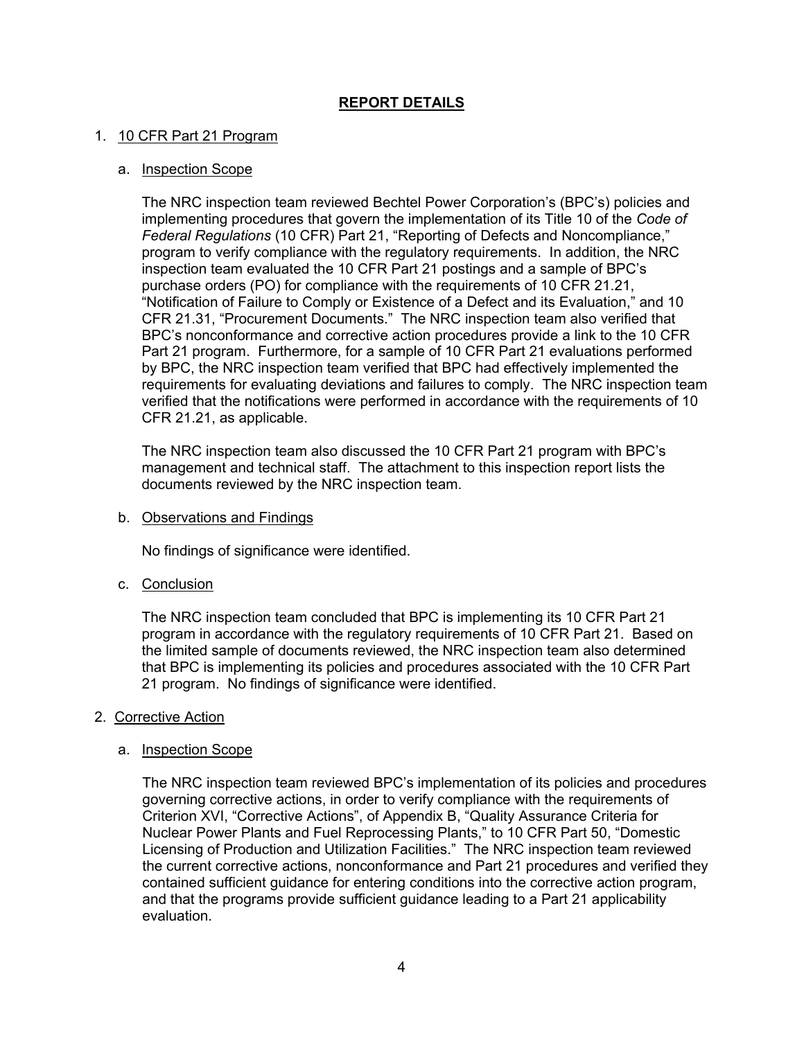# **REPORT DETAILS**

## 1. 10 CFR Part 21 Program

#### a. Inspection Scope

The NRC inspection team reviewed Bechtel Power Corporation's (BPC's) policies and implementing procedures that govern the implementation of its Title 10 of the *Code of Federal Regulations* (10 CFR) Part 21, "Reporting of Defects and Noncompliance," program to verify compliance with the regulatory requirements. In addition, the NRC inspection team evaluated the 10 CFR Part 21 postings and a sample of BPC's purchase orders (PO) for compliance with the requirements of 10 CFR 21.21, "Notification of Failure to Comply or Existence of a Defect and its Evaluation," and 10 CFR 21.31, "Procurement Documents." The NRC inspection team also verified that BPC's nonconformance and corrective action procedures provide a link to the 10 CFR Part 21 program. Furthermore, for a sample of 10 CFR Part 21 evaluations performed by BPC, the NRC inspection team verified that BPC had effectively implemented the requirements for evaluating deviations and failures to comply. The NRC inspection team verified that the notifications were performed in accordance with the requirements of 10 CFR 21.21, as applicable.

The NRC inspection team also discussed the 10 CFR Part 21 program with BPC's management and technical staff. The attachment to this inspection report lists the documents reviewed by the NRC inspection team.

b. Observations and Findings

No findings of significance were identified.

c. Conclusion

The NRC inspection team concluded that BPC is implementing its 10 CFR Part 21 program in accordance with the regulatory requirements of 10 CFR Part 21. Based on the limited sample of documents reviewed, the NRC inspection team also determined that BPC is implementing its policies and procedures associated with the 10 CFR Part 21 program. No findings of significance were identified.

#### 2. Corrective Action

#### a. Inspection Scope

The NRC inspection team reviewed BPC's implementation of its policies and procedures governing corrective actions, in order to verify compliance with the requirements of Criterion XVI, "Corrective Actions", of Appendix B, "Quality Assurance Criteria for Nuclear Power Plants and Fuel Reprocessing Plants," to 10 CFR Part 50, "Domestic Licensing of Production and Utilization Facilities." The NRC inspection team reviewed the current corrective actions, nonconformance and Part 21 procedures and verified they contained sufficient guidance for entering conditions into the corrective action program, and that the programs provide sufficient guidance leading to a Part 21 applicability evaluation.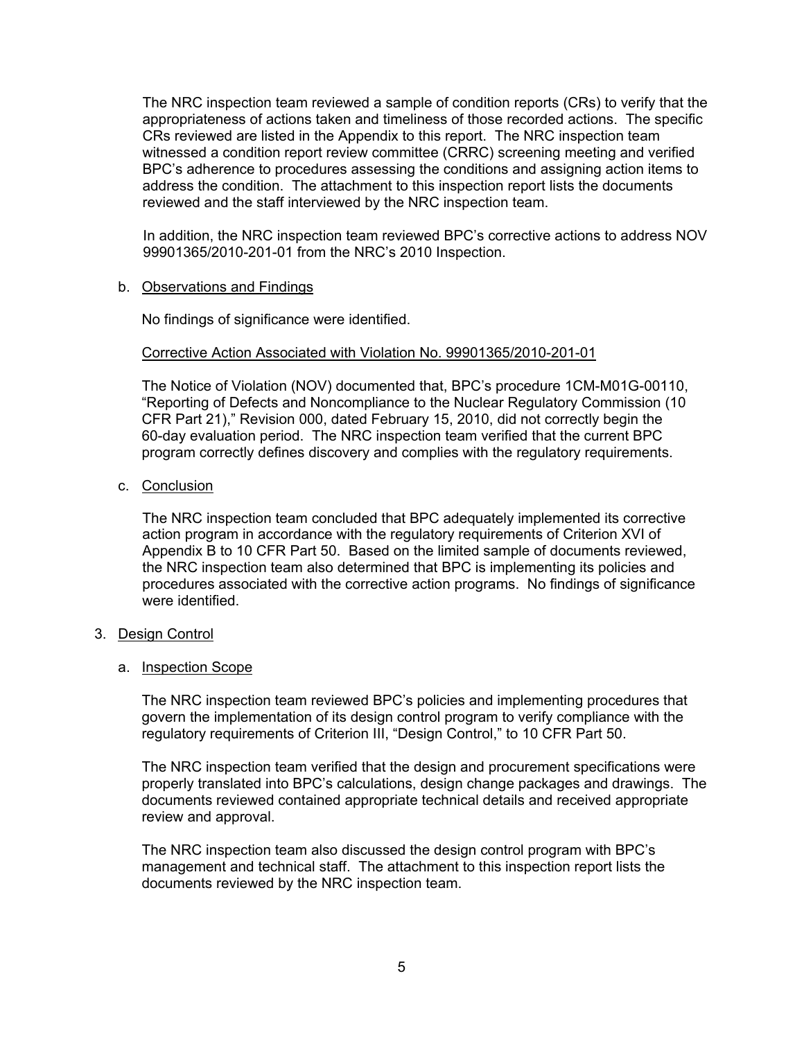The NRC inspection team reviewed a sample of condition reports (CRs) to verify that the appropriateness of actions taken and timeliness of those recorded actions. The specific CRs reviewed are listed in the Appendix to this report. The NRC inspection team witnessed a condition report review committee (CRRC) screening meeting and verified BPC's adherence to procedures assessing the conditions and assigning action items to address the condition. The attachment to this inspection report lists the documents reviewed and the staff interviewed by the NRC inspection team.

In addition, the NRC inspection team reviewed BPC's corrective actions to address NOV 99901365/2010-201-01 from the NRC's 2010 Inspection.

b. Observations and Findings

No findings of significance were identified.

## Corrective Action Associated with Violation No. 99901365/2010-201-01

The Notice of Violation (NOV) documented that, BPC's procedure 1CM-M01G-00110, "Reporting of Defects and Noncompliance to the Nuclear Regulatory Commission (10 CFR Part 21)," Revision 000, dated February 15, 2010, did not correctly begin the 60-day evaluation period. The NRC inspection team verified that the current BPC program correctly defines discovery and complies with the regulatory requirements.

c. Conclusion

The NRC inspection team concluded that BPC adequately implemented its corrective action program in accordance with the regulatory requirements of Criterion XVI of Appendix B to 10 CFR Part 50. Based on the limited sample of documents reviewed, the NRC inspection team also determined that BPC is implementing its policies and procedures associated with the corrective action programs. No findings of significance were identified.

#### 3. Design Control

#### a. Inspection Scope

The NRC inspection team reviewed BPC's policies and implementing procedures that govern the implementation of its design control program to verify compliance with the regulatory requirements of Criterion III, "Design Control," to 10 CFR Part 50.

The NRC inspection team verified that the design and procurement specifications were properly translated into BPC's calculations, design change packages and drawings. The documents reviewed contained appropriate technical details and received appropriate review and approval.

The NRC inspection team also discussed the design control program with BPC's management and technical staff. The attachment to this inspection report lists the documents reviewed by the NRC inspection team.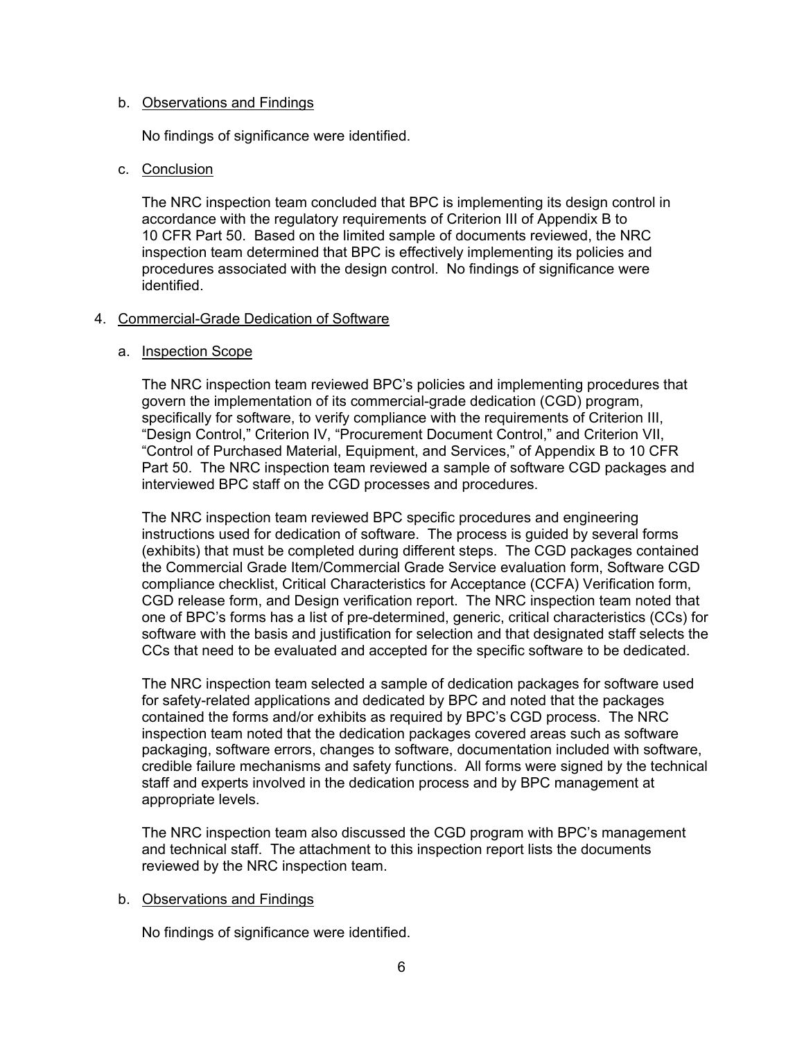#### b. Observations and Findings

No findings of significance were identified.

## c. Conclusion

The NRC inspection team concluded that BPC is implementing its design control in accordance with the regulatory requirements of Criterion III of Appendix B to 10 CFR Part 50. Based on the limited sample of documents reviewed, the NRC inspection team determined that BPC is effectively implementing its policies and procedures associated with the design control. No findings of significance were identified.

## 4. Commercial-Grade Dedication of Software

## a. Inspection Scope

The NRC inspection team reviewed BPC's policies and implementing procedures that govern the implementation of its commercial-grade dedication (CGD) program, specifically for software, to verify compliance with the requirements of Criterion III, "Design Control," Criterion IV, "Procurement Document Control," and Criterion VII, "Control of Purchased Material, Equipment, and Services," of Appendix B to 10 CFR Part 50. The NRC inspection team reviewed a sample of software CGD packages and interviewed BPC staff on the CGD processes and procedures.

The NRC inspection team reviewed BPC specific procedures and engineering instructions used for dedication of software. The process is guided by several forms (exhibits) that must be completed during different steps. The CGD packages contained the Commercial Grade Item/Commercial Grade Service evaluation form, Software CGD compliance checklist, Critical Characteristics for Acceptance (CCFA) Verification form, CGD release form, and Design verification report. The NRC inspection team noted that one of BPC's forms has a list of pre-determined, generic, critical characteristics (CCs) for software with the basis and justification for selection and that designated staff selects the CCs that need to be evaluated and accepted for the specific software to be dedicated.

The NRC inspection team selected a sample of dedication packages for software used for safety-related applications and dedicated by BPC and noted that the packages contained the forms and/or exhibits as required by BPC's CGD process. The NRC inspection team noted that the dedication packages covered areas such as software packaging, software errors, changes to software, documentation included with software, credible failure mechanisms and safety functions. All forms were signed by the technical staff and experts involved in the dedication process and by BPC management at appropriate levels.

The NRC inspection team also discussed the CGD program with BPC's management and technical staff. The attachment to this inspection report lists the documents reviewed by the NRC inspection team.

## b. Observations and Findings

No findings of significance were identified.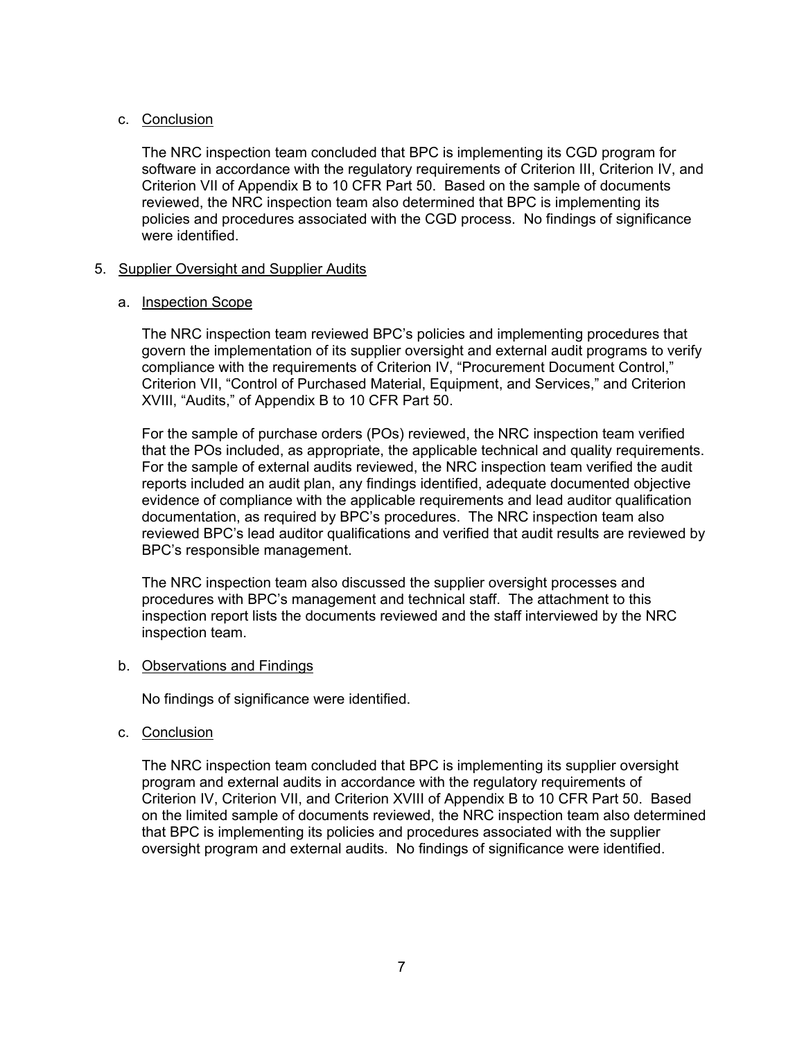## c. Conclusion

The NRC inspection team concluded that BPC is implementing its CGD program for software in accordance with the regulatory requirements of Criterion III, Criterion IV, and Criterion VII of Appendix B to 10 CFR Part 50. Based on the sample of documents reviewed, the NRC inspection team also determined that BPC is implementing its policies and procedures associated with the CGD process. No findings of significance were identified.

## 5. Supplier Oversight and Supplier Audits

## a. Inspection Scope

The NRC inspection team reviewed BPC's policies and implementing procedures that govern the implementation of its supplier oversight and external audit programs to verify compliance with the requirements of Criterion IV, "Procurement Document Control," Criterion VII, "Control of Purchased Material, Equipment, and Services," and Criterion XVIII, "Audits," of Appendix B to 10 CFR Part 50.

For the sample of purchase orders (POs) reviewed, the NRC inspection team verified that the POs included, as appropriate, the applicable technical and quality requirements. For the sample of external audits reviewed, the NRC inspection team verified the audit reports included an audit plan, any findings identified, adequate documented objective evidence of compliance with the applicable requirements and lead auditor qualification documentation, as required by BPC's procedures. The NRC inspection team also reviewed BPC's lead auditor qualifications and verified that audit results are reviewed by BPC's responsible management.

The NRC inspection team also discussed the supplier oversight processes and procedures with BPC's management and technical staff. The attachment to this inspection report lists the documents reviewed and the staff interviewed by the NRC inspection team.

#### b. Observations and Findings

No findings of significance were identified.

c. Conclusion

The NRC inspection team concluded that BPC is implementing its supplier oversight program and external audits in accordance with the regulatory requirements of Criterion IV, Criterion VII, and Criterion XVIII of Appendix B to 10 CFR Part 50. Based on the limited sample of documents reviewed, the NRC inspection team also determined that BPC is implementing its policies and procedures associated with the supplier oversight program and external audits. No findings of significance were identified.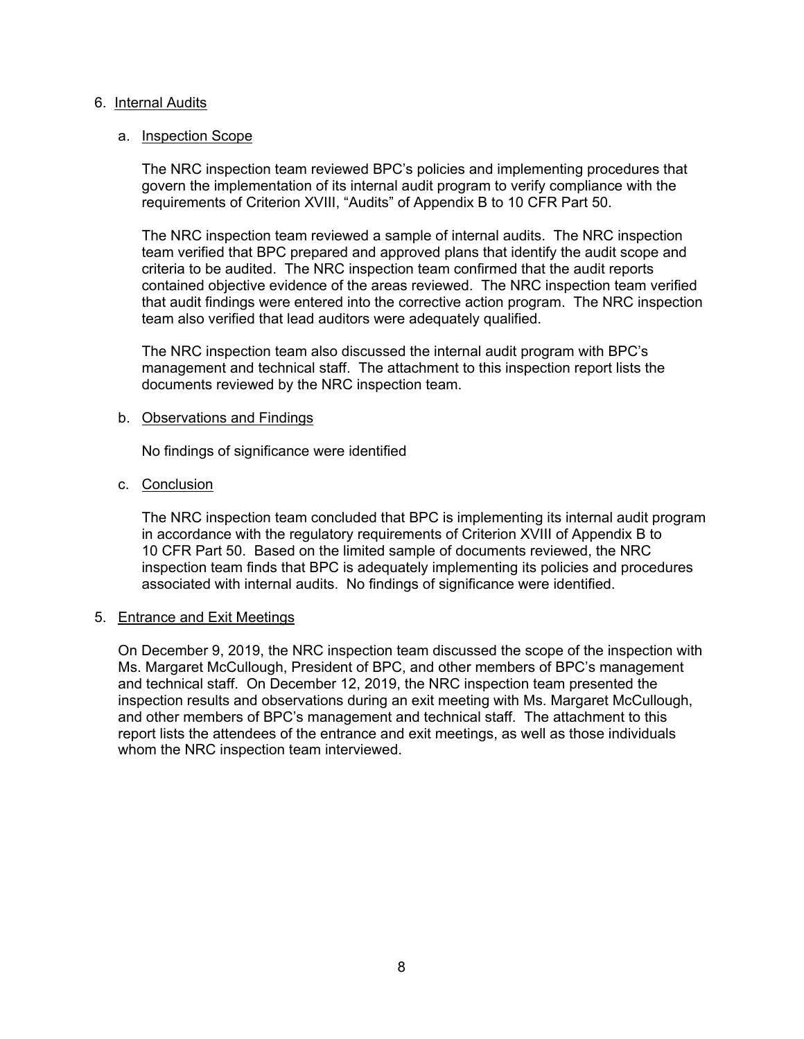#### 6. Internal Audits

#### a. Inspection Scope

The NRC inspection team reviewed BPC's policies and implementing procedures that govern the implementation of its internal audit program to verify compliance with the requirements of Criterion XVIII, "Audits" of Appendix B to 10 CFR Part 50.

The NRC inspection team reviewed a sample of internal audits. The NRC inspection team verified that BPC prepared and approved plans that identify the audit scope and criteria to be audited. The NRC inspection team confirmed that the audit reports contained objective evidence of the areas reviewed. The NRC inspection team verified that audit findings were entered into the corrective action program. The NRC inspection team also verified that lead auditors were adequately qualified.

The NRC inspection team also discussed the internal audit program with BPC's management and technical staff. The attachment to this inspection report lists the documents reviewed by the NRC inspection team.

#### b. Observations and Findings

No findings of significance were identified

## c. Conclusion

The NRC inspection team concluded that BPC is implementing its internal audit program in accordance with the regulatory requirements of Criterion XVIII of Appendix B to 10 CFR Part 50. Based on the limited sample of documents reviewed, the NRC inspection team finds that BPC is adequately implementing its policies and procedures associated with internal audits. No findings of significance were identified.

#### 5. Entrance and Exit Meetings

On December 9, 2019, the NRC inspection team discussed the scope of the inspection with Ms. Margaret McCullough, President of BPC, and other members of BPC's management and technical staff. On December 12, 2019, the NRC inspection team presented the inspection results and observations during an exit meeting with Ms. Margaret McCullough, and other members of BPC's management and technical staff. The attachment to this report lists the attendees of the entrance and exit meetings, as well as those individuals whom the NRC inspection team interviewed.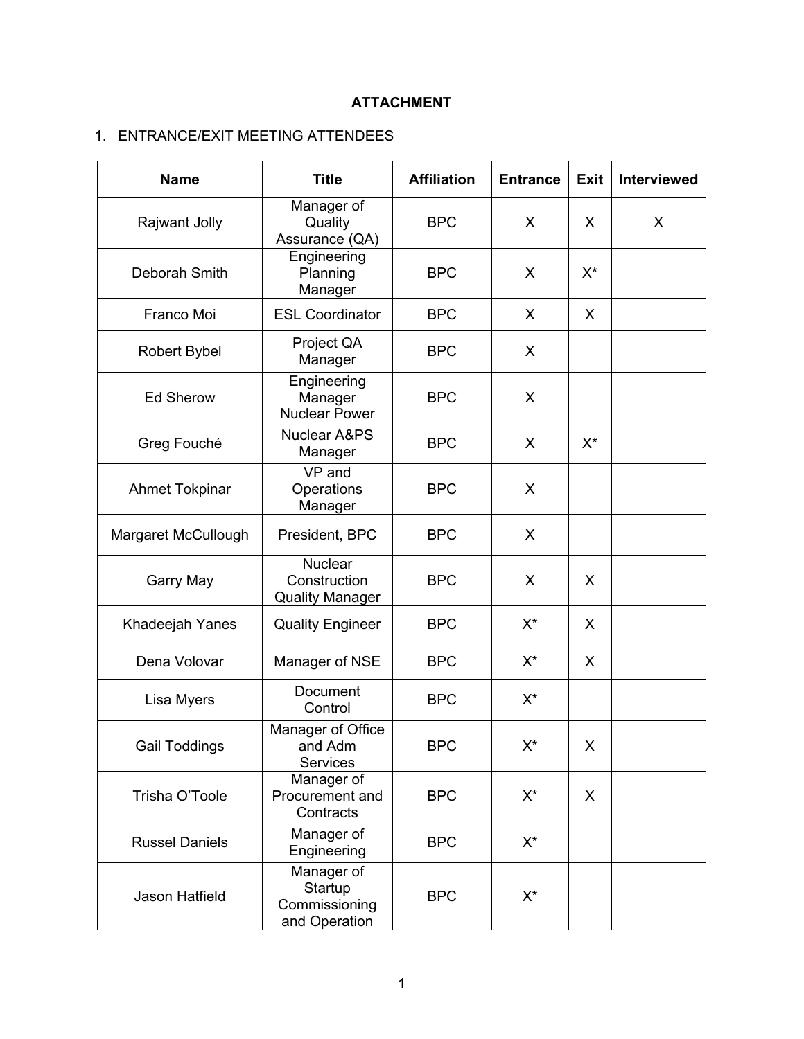# **ATTACHMENT**

# 1. ENTRANCE/EXIT MEETING ATTENDEES

| <b>Name</b>           | <b>Title</b>                                             | <b>Affiliation</b> | <b>Entrance</b>    | <b>Exit</b> | Interviewed |
|-----------------------|----------------------------------------------------------|--------------------|--------------------|-------------|-------------|
| Rajwant Jolly         | Manager of<br>Quality<br>Assurance (QA)                  | <b>BPC</b>         | X                  | X           | X           |
| Deborah Smith         | Engineering<br>Planning<br>Manager                       | <b>BPC</b>         | X                  | $X^*$       |             |
| Franco Moi            | <b>ESL Coordinator</b>                                   | <b>BPC</b>         | X.                 | X           |             |
| <b>Robert Bybel</b>   | Project QA<br>Manager                                    | <b>BPC</b>         | X                  |             |             |
| <b>Ed Sherow</b>      | Engineering<br>Manager<br><b>Nuclear Power</b>           | <b>BPC</b>         | X                  |             |             |
| Greg Fouché           | <b>Nuclear A&amp;PS</b><br>Manager                       | <b>BPC</b>         | X                  | $X^*$       |             |
| <b>Ahmet Tokpinar</b> | VP and<br>Operations<br>Manager                          | <b>BPC</b>         | X                  |             |             |
| Margaret McCullough   | President, BPC                                           | <b>BPC</b>         | X                  |             |             |
| Garry May             | <b>Nuclear</b><br>Construction<br><b>Quality Manager</b> | <b>BPC</b>         | X                  | X           |             |
| Khadeejah Yanes       | <b>Quality Engineer</b>                                  | <b>BPC</b>         | $X^*$              | X           |             |
| Dena Volovar          | Manager of NSE                                           | <b>BPC</b>         | $X^*$              | X           |             |
| Lisa Myers            | Document<br>Control                                      | <b>BPC</b>         | $X^{\star}$        |             |             |
| <b>Gail Toddings</b>  | Manager of Office<br>and Adm<br>Services                 | <b>BPC</b>         | $\mathsf{X}^\star$ | X           |             |
| Trisha O'Toole        | Manager of<br>Procurement and<br>Contracts               | <b>BPC</b>         | $X^*$              | X           |             |
| <b>Russel Daniels</b> | Manager of<br>Engineering                                | <b>BPC</b>         | $X^*$              |             |             |
| Jason Hatfield        | Manager of<br>Startup<br>Commissioning<br>and Operation  | <b>BPC</b>         | X*                 |             |             |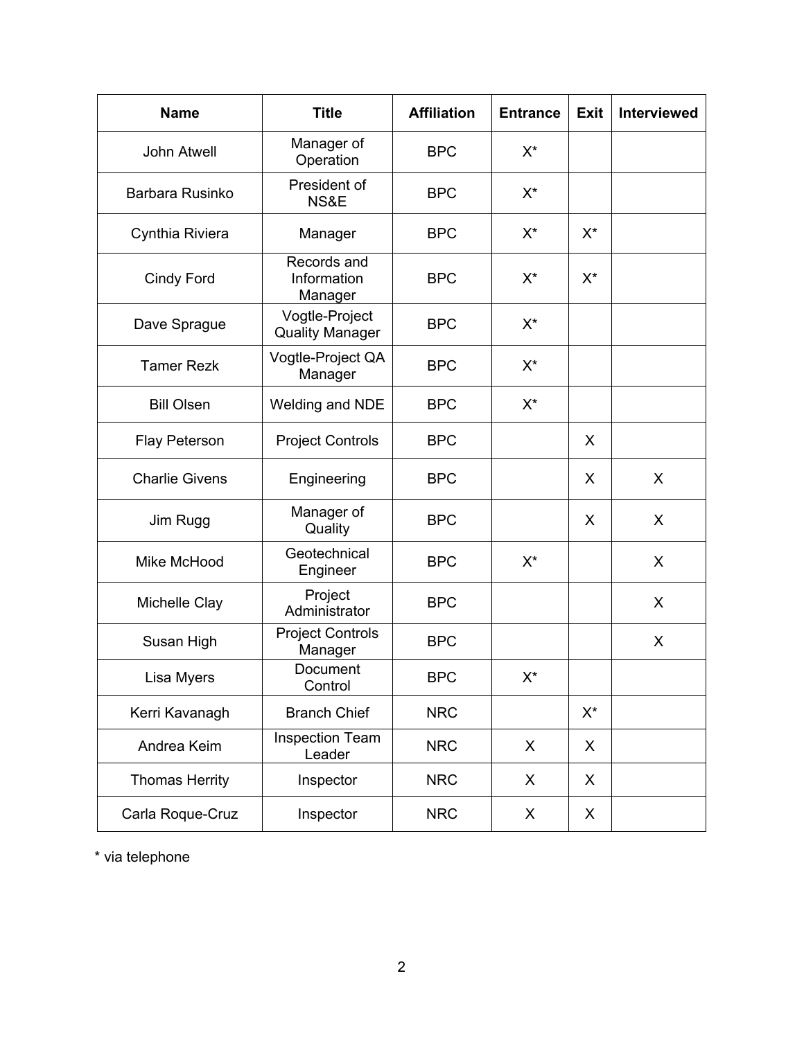| <b>Name</b>           | <b>Title</b>                             | <b>Affiliation</b> | <b>Entrance</b> | <b>Exit</b>        | Interviewed |
|-----------------------|------------------------------------------|--------------------|-----------------|--------------------|-------------|
| <b>John Atwell</b>    | Manager of<br>Operation                  | <b>BPC</b>         | $X^*$           |                    |             |
| Barbara Rusinko       | President of<br>NS&E                     | <b>BPC</b>         | $X^*$           |                    |             |
| Cynthia Riviera       | Manager                                  | <b>BPC</b>         | $X^{\star}$     | $X^*$              |             |
| <b>Cindy Ford</b>     | Records and<br>Information<br>Manager    | <b>BPC</b>         | $X^*$           | $X^*$              |             |
| Dave Sprague          | Vogtle-Project<br><b>Quality Manager</b> | <b>BPC</b>         | $X^*$           |                    |             |
| <b>Tamer Rezk</b>     | Vogtle-Project QA<br>Manager             | <b>BPC</b>         | $X^*$           |                    |             |
| <b>Bill Olsen</b>     | <b>Welding and NDE</b>                   | <b>BPC</b>         | X*              |                    |             |
| <b>Flay Peterson</b>  | <b>Project Controls</b>                  | <b>BPC</b>         |                 | X                  |             |
| <b>Charlie Givens</b> | Engineering                              | <b>BPC</b>         |                 | X                  | X           |
| Jim Rugg              | Manager of<br>Quality                    | <b>BPC</b>         |                 | X                  | X           |
| Mike McHood           | Geotechnical<br>Engineer                 | <b>BPC</b>         | $X^*$           |                    | X           |
| Michelle Clay         | Project<br>Administrator                 | <b>BPC</b>         |                 |                    | X           |
| Susan High            | <b>Project Controls</b><br>Manager       | <b>BPC</b>         |                 |                    | X           |
| Lisa Myers            | Document<br>Control                      | <b>BPC</b>         | X*              |                    |             |
| Kerri Kavanagh        | <b>Branch Chief</b>                      | <b>NRC</b>         |                 | $\mathsf{X}^\star$ |             |
| Andrea Keim           | Inspection Team<br>Leader                | <b>NRC</b>         | X               | X                  |             |
| <b>Thomas Herrity</b> | Inspector                                | <b>NRC</b>         | X               | X                  |             |
| Carla Roque-Cruz      | Inspector                                | <b>NRC</b>         | X               | X                  |             |

\* via telephone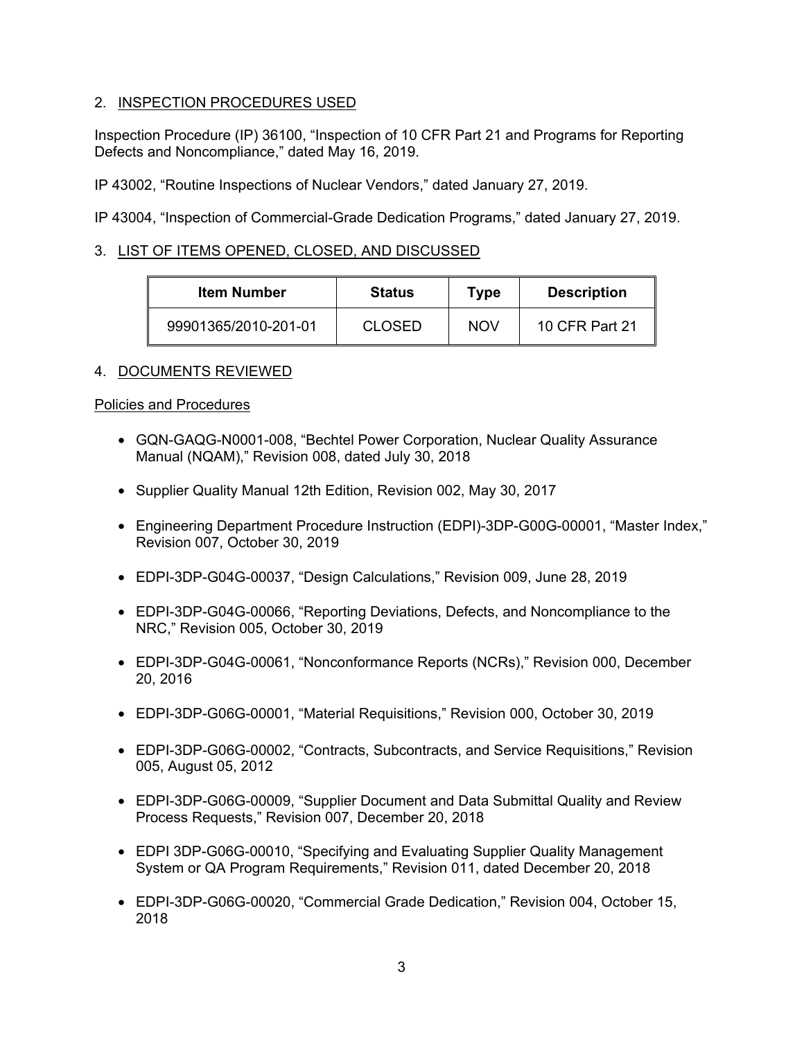# 2. INSPECTION PROCEDURES USED

Inspection Procedure (IP) 36100, "Inspection of 10 CFR Part 21 and Programs for Reporting Defects and Noncompliance," dated May 16, 2019.

IP 43002, "Routine Inspections of Nuclear Vendors," dated January 27, 2019.

IP 43004, "Inspection of Commercial-Grade Dedication Programs," dated January 27, 2019.

# 3. LIST OF ITEMS OPENED, CLOSED, AND DISCUSSED

| <b>Item Number</b>   | <b>Status</b> | Type       | <b>Description</b> |
|----------------------|---------------|------------|--------------------|
| 99901365/2010-201-01 | <b>CLOSED</b> | <b>NOV</b> | 10 CFR Part 21     |

# 4. DOCUMENTS REVIEWED

## Policies and Procedures

- GQN-GAQG-N0001-008, "Bechtel Power Corporation, Nuclear Quality Assurance Manual (NQAM)," Revision 008, dated July 30, 2018
- Supplier Quality Manual 12th Edition, Revision 002, May 30, 2017
- Engineering Department Procedure Instruction (EDPI)-3DP-G00G-00001, "Master Index," Revision 007, October 30, 2019
- EDPI-3DP-G04G-00037, "Design Calculations," Revision 009, June 28, 2019
- EDPI-3DP-G04G-00066, "Reporting Deviations, Defects, and Noncompliance to the NRC," Revision 005, October 30, 2019
- EDPI-3DP-G04G-00061, "Nonconformance Reports (NCRs)," Revision 000, December 20, 2016
- EDPI-3DP-G06G-00001, "Material Requisitions," Revision 000, October 30, 2019
- EDPI-3DP-G06G-00002, "Contracts, Subcontracts, and Service Requisitions," Revision 005, August 05, 2012
- EDPI-3DP-G06G-00009, "Supplier Document and Data Submittal Quality and Review Process Requests," Revision 007, December 20, 2018
- EDPI 3DP-G06G-00010, "Specifying and Evaluating Supplier Quality Management System or QA Program Requirements," Revision 011, dated December 20, 2018
- EDPI-3DP-G06G-00020, "Commercial Grade Dedication," Revision 004, October 15, 2018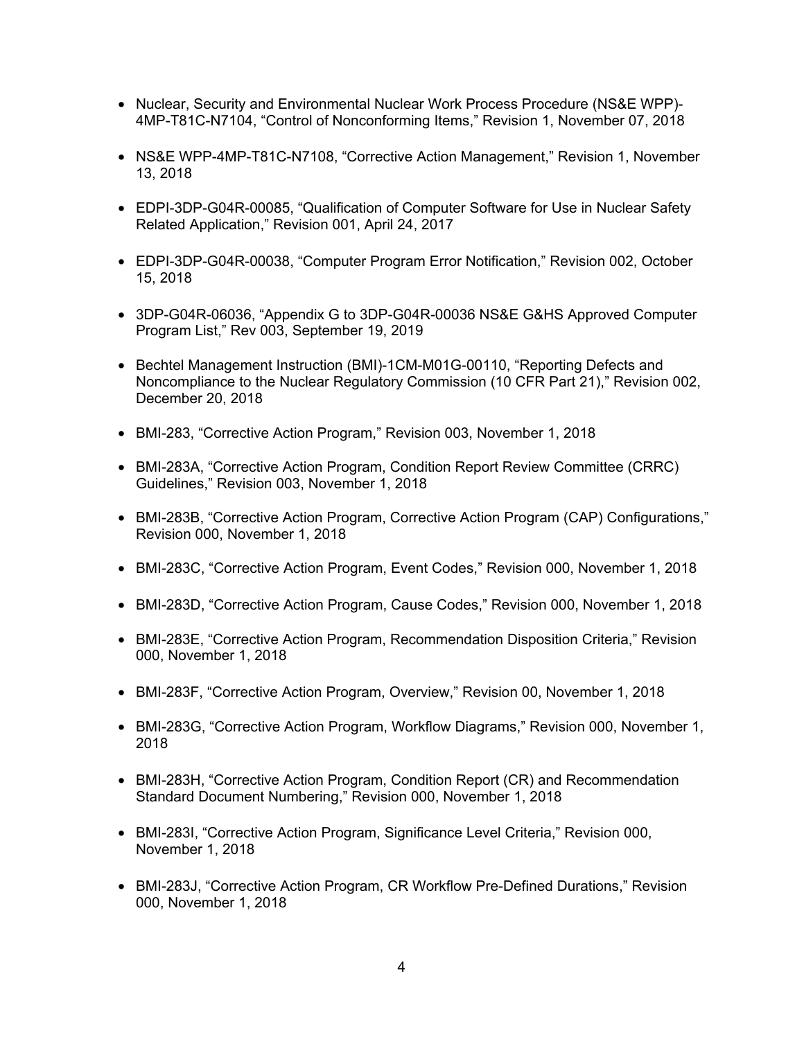- Nuclear, Security and Environmental Nuclear Work Process Procedure (NS&E WPP)- 4MP-T81C-N7104, "Control of Nonconforming Items," Revision 1, November 07, 2018
- NS&E WPP-4MP-T81C-N7108, "Corrective Action Management," Revision 1, November 13, 2018
- EDPI-3DP-G04R-00085, "Qualification of Computer Software for Use in Nuclear Safety Related Application," Revision 001, April 24, 2017
- EDPI-3DP-G04R-00038, "Computer Program Error Notification," Revision 002, October 15, 2018
- 3DP-G04R-06036, "Appendix G to 3DP-G04R-00036 NS&E G&HS Approved Computer Program List," Rev 003, September 19, 2019
- Bechtel Management Instruction (BMI)-1CM-M01G-00110, "Reporting Defects and Noncompliance to the Nuclear Regulatory Commission (10 CFR Part 21)," Revision 002, December 20, 2018
- BMI-283, "Corrective Action Program," Revision 003, November 1, 2018
- BMI-283A, "Corrective Action Program, Condition Report Review Committee (CRRC) Guidelines," Revision 003, November 1, 2018
- BMI-283B, "Corrective Action Program, Corrective Action Program (CAP) Configurations," Revision 000, November 1, 2018
- BMI-283C, "Corrective Action Program, Event Codes," Revision 000, November 1, 2018
- BMI-283D, "Corrective Action Program, Cause Codes," Revision 000, November 1, 2018
- BMI-283E, "Corrective Action Program, Recommendation Disposition Criteria," Revision 000, November 1, 2018
- BMI-283F, "Corrective Action Program, Overview," Revision 00, November 1, 2018
- BMI-283G, "Corrective Action Program, Workflow Diagrams," Revision 000, November 1, 2018
- BMI-283H, "Corrective Action Program, Condition Report (CR) and Recommendation Standard Document Numbering," Revision 000, November 1, 2018
- BMI-283I, "Corrective Action Program, Significance Level Criteria," Revision 000, November 1, 2018
- BMI-283J, "Corrective Action Program, CR Workflow Pre-Defined Durations," Revision 000, November 1, 2018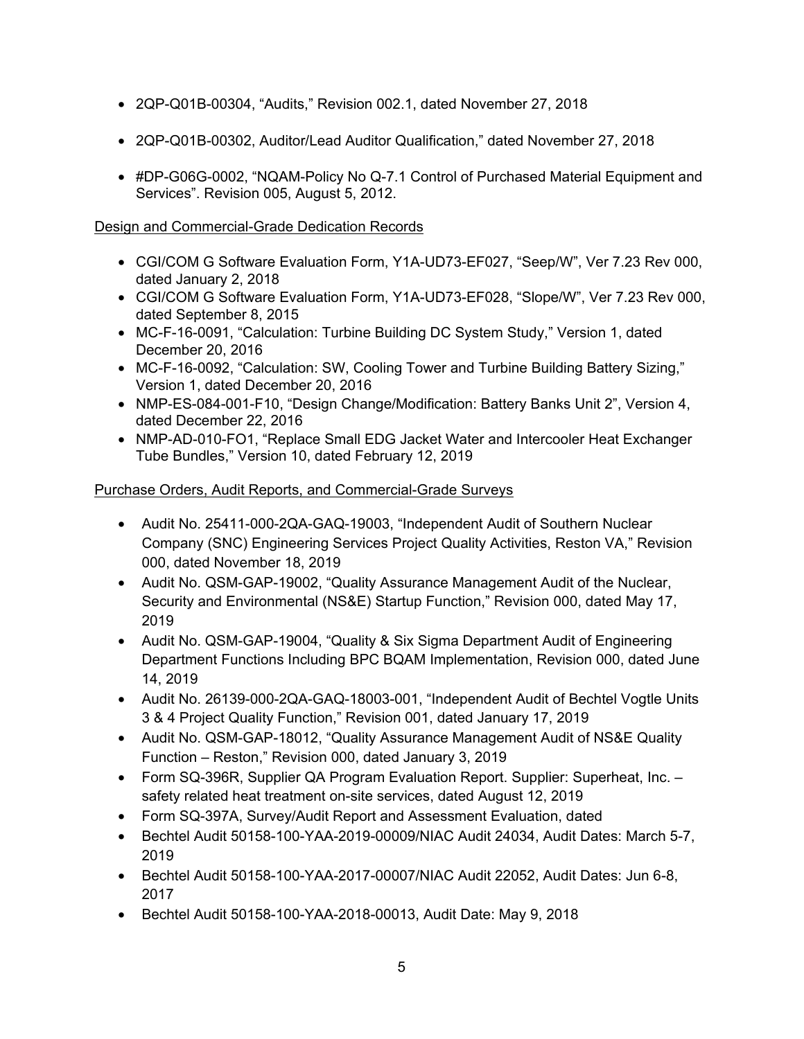- 2QP-Q01B-00304, "Audits," Revision 002.1, dated November 27, 2018
- 2QP-Q01B-00302, Auditor/Lead Auditor Qualification," dated November 27, 2018
- #DP-G06G-0002, "NQAM-Policy No Q-7.1 Control of Purchased Material Equipment and Services". Revision 005, August 5, 2012.

# Design and Commercial-Grade Dedication Records

- CGI/COM G Software Evaluation Form, Y1A-UD73-EF027, "Seep/W", Ver 7.23 Rev 000, dated January 2, 2018
- CGI/COM G Software Evaluation Form, Y1A-UD73-EF028, "Slope/W", Ver 7.23 Rev 000, dated September 8, 2015
- MC-F-16-0091, "Calculation: Turbine Building DC System Study," Version 1, dated December 20, 2016
- MC-F-16-0092, "Calculation: SW, Cooling Tower and Turbine Building Battery Sizing," Version 1, dated December 20, 2016
- NMP-ES-084-001-F10, "Design Change/Modification: Battery Banks Unit 2", Version 4, dated December 22, 2016
- NMP-AD-010-FO1, "Replace Small EDG Jacket Water and Intercooler Heat Exchanger Tube Bundles," Version 10, dated February 12, 2019

# Purchase Orders, Audit Reports, and Commercial-Grade Surveys

- Audit No. 25411-000-2QA-GAQ-19003, "Independent Audit of Southern Nuclear Company (SNC) Engineering Services Project Quality Activities, Reston VA," Revision 000, dated November 18, 2019
- Audit No. QSM-GAP-19002, "Quality Assurance Management Audit of the Nuclear, Security and Environmental (NS&E) Startup Function," Revision 000, dated May 17, 2019
- Audit No. QSM-GAP-19004, "Quality & Six Sigma Department Audit of Engineering Department Functions Including BPC BQAM Implementation, Revision 000, dated June 14, 2019
- Audit No. 26139-000-2QA-GAQ-18003-001, "Independent Audit of Bechtel Vogtle Units 3 & 4 Project Quality Function," Revision 001, dated January 17, 2019
- Audit No. QSM-GAP-18012, "Quality Assurance Management Audit of NS&E Quality Function – Reston," Revision 000, dated January 3, 2019
- Form SQ-396R, Supplier QA Program Evaluation Report. Supplier: Superheat, Inc. safety related heat treatment on-site services, dated August 12, 2019
- Form SQ-397A, Survey/Audit Report and Assessment Evaluation, dated
- Bechtel Audit 50158-100-YAA-2019-00009/NIAC Audit 24034, Audit Dates: March 5-7, 2019
- Bechtel Audit 50158-100-YAA-2017-00007/NIAC Audit 22052, Audit Dates: Jun 6-8, 2017
- Bechtel Audit 50158-100-YAA-2018-00013, Audit Date: May 9, 2018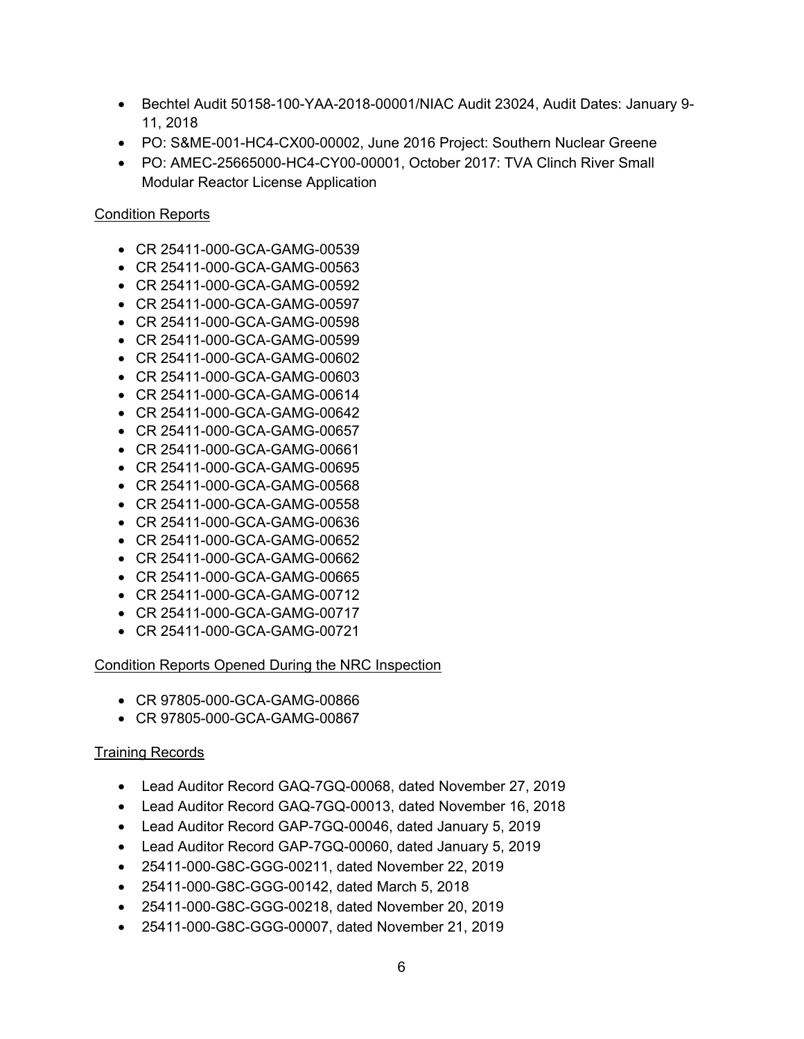- Bechtel Audit 50158-100-YAA-2018-00001/NIAC Audit 23024, Audit Dates: January 9- 11, 2018
- PO: S&ME-001-HC4-CX00-00002, June 2016 Project: Southern Nuclear Greene
- PO: AMEC-25665000-HC4-CY00-00001, October 2017: TVA Clinch River Small Modular Reactor License Application

# Condition Reports

- CR 25411-000-GCA-GAMG-00539
- CR 25411-000-GCA-GAMG-00563
- CR 25411-000-GCA-GAMG-00592
- CR 25411-000-GCA-GAMG-00597
- CR 25411-000-GCA-GAMG-00598
- CR 25411-000-GCA-GAMG-00599
- CR 25411-000-GCA-GAMG-00602
- CR 25411-000-GCA-GAMG-00603
- CR 25411-000-GCA-GAMG-00614
- CR 25411-000-GCA-GAMG-00642
- CR 25411-000-GCA-GAMG-00657
- CR 25411-000-GCA-GAMG-00661
- CR 25411-000-GCA-GAMG-00695
- CR 25411-000-GCA-GAMG-00568
- CR 25411-000-GCA-GAMG-00558
- CR 25411-000-GCA-GAMG-00636
- CR 25411-000-GCA-GAMG-00652
- CR 25411-000-GCA-GAMG-00662
- CR 25411-000-GCA-GAMG-00665
- CR 25411-000-GCA-GAMG-00712
- CR 25411-000-GCA-GAMG-00717
- CR 25411-000-GCA-GAMG-00721

# Condition Reports Opened During the NRC Inspection

- CR 97805-000-GCA-GAMG-00866
- CR 97805-000-GCA-GAMG-00867

# Training Records

- Lead Auditor Record GAQ-7GQ-00068, dated November 27, 2019
- Lead Auditor Record GAQ-7GQ-00013, dated November 16, 2018
- Lead Auditor Record GAP-7GQ-00046, dated January 5, 2019
- Lead Auditor Record GAP-7GQ-00060, dated January 5, 2019
- 25411-000-G8C-GGG-00211, dated November 22, 2019
- 25411-000-G8C-GGG-00142, dated March 5, 2018
- 25411-000-G8C-GGG-00218, dated November 20, 2019
- 25411-000-G8C-GGG-00007, dated November 21, 2019